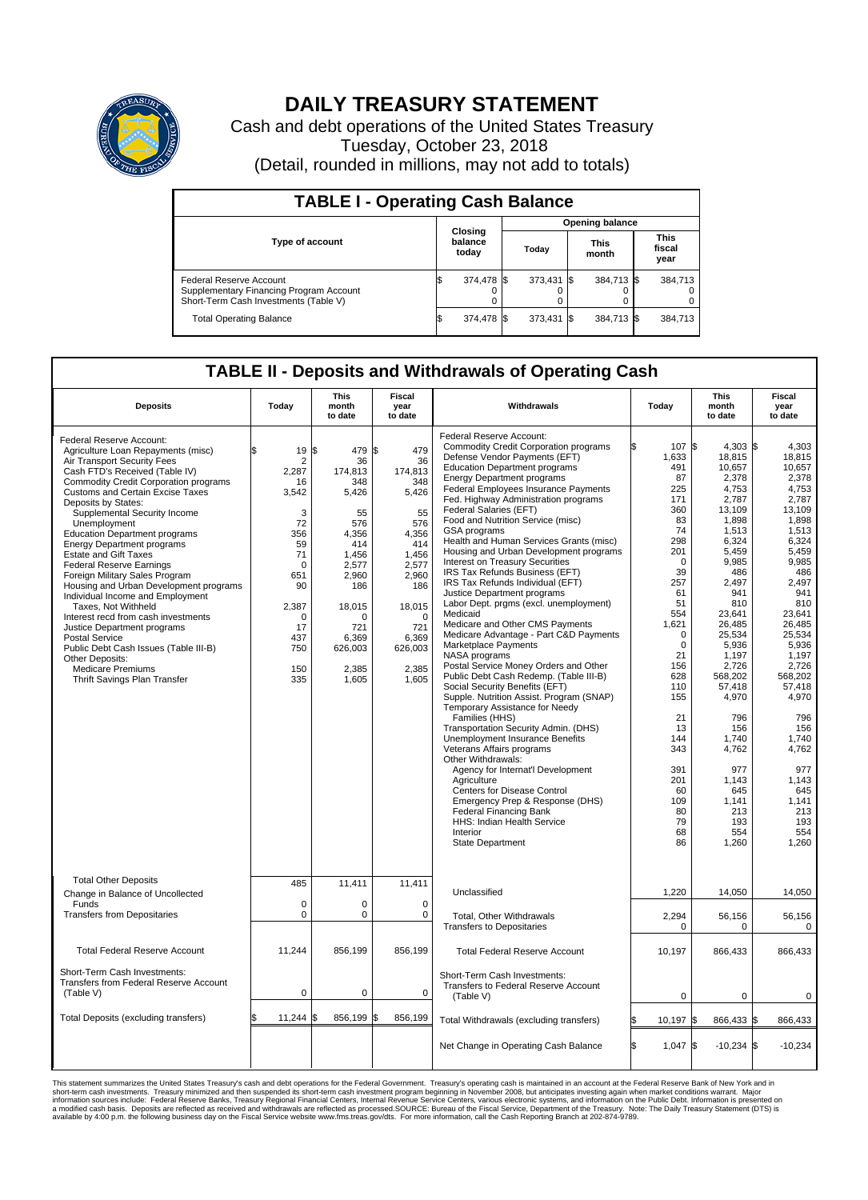

## **DAILY TREASURY STATEMENT**

Cash and debt operations of the United States Treasury Tuesday, October 23, 2018 (Detail, rounded in millions, may not add to totals)

| <b>TABLE I - Operating Cash Balance</b>                                                                     |                             |            |       |                        |                      |            |  |                               |  |  |  |
|-------------------------------------------------------------------------------------------------------------|-----------------------------|------------|-------|------------------------|----------------------|------------|--|-------------------------------|--|--|--|
|                                                                                                             | Closing<br>balance<br>today |            |       | <b>Opening balance</b> |                      |            |  |                               |  |  |  |
| Type of account                                                                                             |                             |            | Today |                        | <b>This</b><br>month |            |  | <b>This</b><br>fiscal<br>year |  |  |  |
| Federal Reserve Account<br>Supplementary Financing Program Account<br>Short-Term Cash Investments (Table V) |                             | 374,478 \$ |       | 373.431 \$             |                      | 384,713 \$ |  | 384,713                       |  |  |  |
| <b>Total Operating Balance</b>                                                                              | ß.                          | 374,478 \$ |       | 373,431 \$             |                      | 384,713 \$ |  | 384,713                       |  |  |  |

## **TABLE II - Deposits and Withdrawals of Operating Cash**

| <b>Deposits</b>                                                                                                                                                                                                                                                                                                                                                                                                                                                                                                                                                                                                                                                                                                                                                                                                 | Today                                                                                                                                                            | <b>This</b><br>month<br>to date                                                                                                                                           | <b>Fiscal</b><br>year<br>to date                                                                                                                                       | Withdrawals                                                                                                                                                                                                                                                                                                                                                                                                                                                                                                                                                                                                                                                                                                                                                                                                                                                                                                                                                                                                                                                                                                                                                                                                                                                                                                                                          | Today                                                                                                                                                                                                                                                                        | <b>This</b><br>month<br>to date                                                                                                                                                                                                                                                                                                     | <b>Fiscal</b><br>year<br>to date                                                                                                                                                                                                                                                                                               |  |
|-----------------------------------------------------------------------------------------------------------------------------------------------------------------------------------------------------------------------------------------------------------------------------------------------------------------------------------------------------------------------------------------------------------------------------------------------------------------------------------------------------------------------------------------------------------------------------------------------------------------------------------------------------------------------------------------------------------------------------------------------------------------------------------------------------------------|------------------------------------------------------------------------------------------------------------------------------------------------------------------|---------------------------------------------------------------------------------------------------------------------------------------------------------------------------|------------------------------------------------------------------------------------------------------------------------------------------------------------------------|------------------------------------------------------------------------------------------------------------------------------------------------------------------------------------------------------------------------------------------------------------------------------------------------------------------------------------------------------------------------------------------------------------------------------------------------------------------------------------------------------------------------------------------------------------------------------------------------------------------------------------------------------------------------------------------------------------------------------------------------------------------------------------------------------------------------------------------------------------------------------------------------------------------------------------------------------------------------------------------------------------------------------------------------------------------------------------------------------------------------------------------------------------------------------------------------------------------------------------------------------------------------------------------------------------------------------------------------------|------------------------------------------------------------------------------------------------------------------------------------------------------------------------------------------------------------------------------------------------------------------------------|-------------------------------------------------------------------------------------------------------------------------------------------------------------------------------------------------------------------------------------------------------------------------------------------------------------------------------------|--------------------------------------------------------------------------------------------------------------------------------------------------------------------------------------------------------------------------------------------------------------------------------------------------------------------------------|--|
| Federal Reserve Account:<br>Agriculture Loan Repayments (misc)<br>Air Transport Security Fees<br>Cash FTD's Received (Table IV)<br><b>Commodity Credit Corporation programs</b><br><b>Customs and Certain Excise Taxes</b><br>Deposits by States:<br>Supplemental Security Income<br>Unemployment<br><b>Education Department programs</b><br><b>Energy Department programs</b><br><b>Estate and Gift Taxes</b><br><b>Federal Reserve Earnings</b><br>Foreign Military Sales Program<br>Housing and Urban Development programs<br>Individual Income and Employment<br>Taxes, Not Withheld<br>Interest recd from cash investments<br>Justice Department programs<br><b>Postal Service</b><br>Public Debt Cash Issues (Table III-B)<br>Other Deposits:<br><b>Medicare Premiums</b><br>Thrift Savings Plan Transfer | 19<br>\$<br>$\overline{2}$<br>2,287<br>16<br>3,542<br>3<br>72<br>356<br>59<br>71<br>$\Omega$<br>651<br>90<br>2,387<br>$\Omega$<br>17<br>437<br>750<br>150<br>335 | l\$<br>479 \$<br>36<br>174.813<br>348<br>5,426<br>55<br>576<br>4,356<br>414<br>1,456<br>2,577<br>2,960<br>186<br>18,015<br>O<br>721<br>6,369<br>626,003<br>2,385<br>1,605 | 479<br>36<br>174.813<br>348<br>5,426<br>55<br>576<br>4,356<br>414<br>1,456<br>2,577<br>2,960<br>186<br>18,015<br>$\Omega$<br>721<br>6,369<br>626,003<br>2,385<br>1,605 | Federal Reserve Account:<br><b>Commodity Credit Corporation programs</b><br>Defense Vendor Payments (EFT)<br><b>Education Department programs</b><br><b>Energy Department programs</b><br>Federal Employees Insurance Payments<br>Fed. Highway Administration programs<br>Federal Salaries (EFT)<br>Food and Nutrition Service (misc)<br>GSA programs<br>Health and Human Services Grants (misc)<br>Housing and Urban Development programs<br>Interest on Treasury Securities<br>IRS Tax Refunds Business (EFT)<br>IRS Tax Refunds Individual (EFT)<br>Justice Department programs<br>Labor Dept. prgms (excl. unemployment)<br>Medicaid<br>Medicare and Other CMS Payments<br>Medicare Advantage - Part C&D Payments<br>Marketplace Payments<br>NASA programs<br>Postal Service Money Orders and Other<br>Public Debt Cash Redemp. (Table III-B)<br>Social Security Benefits (EFT)<br>Supple. Nutrition Assist. Program (SNAP)<br>Temporary Assistance for Needy<br>Families (HHS)<br>Transportation Security Admin. (DHS)<br>Unemployment Insurance Benefits<br>Veterans Affairs programs<br>Other Withdrawals:<br>Agency for Internat'l Development<br>Agriculture<br><b>Centers for Disease Control</b><br>Emergency Prep & Response (DHS)<br><b>Federal Financing Bank</b><br>HHS: Indian Health Service<br>Interior<br><b>State Department</b> | 107 \$<br>ß.<br>1,633<br>491<br>87<br>225<br>171<br>360<br>83<br>74<br>298<br>201<br>$\mathbf 0$<br>39<br>257<br>61<br>51<br>554<br>1.621<br>0<br>$\mathbf 0$<br>21<br>156<br>628<br>110<br>155<br>21<br>13<br>144<br>343<br>391<br>201<br>60<br>109<br>80<br>79<br>68<br>86 | $4.303$ \$<br>18,815<br>10,657<br>2,378<br>4,753<br>2,787<br>13,109<br>1,898<br>1,513<br>6,324<br>5.459<br>9,985<br>486<br>2,497<br>941<br>810<br>23,641<br>26,485<br>25,534<br>5,936<br>1,197<br>2.726<br>568,202<br>57,418<br>4,970<br>796<br>156<br>1.740<br>4,762<br>977<br>1,143<br>645<br>1,141<br>213<br>193<br>554<br>1,260 | 4.303<br>18,815<br>10,657<br>2,378<br>4,753<br>2,787<br>13.109<br>1,898<br>1,513<br>6,324<br>5,459<br>9,985<br>486<br>2,497<br>941<br>810<br>23,641<br>26.485<br>25,534<br>5,936<br>1,197<br>2,726<br>568,202<br>57,418<br>4,970<br>796<br>156<br>1.740<br>4,762<br>977<br>1,143<br>645<br>1,141<br>213<br>193<br>554<br>1,260 |  |
| <b>Total Other Deposits</b><br>Change in Balance of Uncollected<br>Funds                                                                                                                                                                                                                                                                                                                                                                                                                                                                                                                                                                                                                                                                                                                                        | 485<br>$\mathbf 0$                                                                                                                                               | 11,411<br>0                                                                                                                                                               | 11.411<br>$\mathbf 0$                                                                                                                                                  | Unclassified                                                                                                                                                                                                                                                                                                                                                                                                                                                                                                                                                                                                                                                                                                                                                                                                                                                                                                                                                                                                                                                                                                                                                                                                                                                                                                                                         | 1,220                                                                                                                                                                                                                                                                        | 14,050                                                                                                                                                                                                                                                                                                                              | 14,050                                                                                                                                                                                                                                                                                                                         |  |
| <b>Transfers from Depositaries</b>                                                                                                                                                                                                                                                                                                                                                                                                                                                                                                                                                                                                                                                                                                                                                                              | $\mathbf 0$                                                                                                                                                      | 0                                                                                                                                                                         | $\mathbf 0$                                                                                                                                                            | Total, Other Withdrawals<br><b>Transfers to Depositaries</b>                                                                                                                                                                                                                                                                                                                                                                                                                                                                                                                                                                                                                                                                                                                                                                                                                                                                                                                                                                                                                                                                                                                                                                                                                                                                                         | 2,294<br>$\mathbf 0$                                                                                                                                                                                                                                                         | 56,156<br>0                                                                                                                                                                                                                                                                                                                         | 56,156<br>0                                                                                                                                                                                                                                                                                                                    |  |
| <b>Total Federal Reserve Account</b>                                                                                                                                                                                                                                                                                                                                                                                                                                                                                                                                                                                                                                                                                                                                                                            | 11,244                                                                                                                                                           | 856,199                                                                                                                                                                   | 856,199                                                                                                                                                                | <b>Total Federal Reserve Account</b>                                                                                                                                                                                                                                                                                                                                                                                                                                                                                                                                                                                                                                                                                                                                                                                                                                                                                                                                                                                                                                                                                                                                                                                                                                                                                                                 | 10,197                                                                                                                                                                                                                                                                       | 866,433                                                                                                                                                                                                                                                                                                                             | 866,433                                                                                                                                                                                                                                                                                                                        |  |
| Short-Term Cash Investments:<br>Transfers from Federal Reserve Account<br>(Table V)                                                                                                                                                                                                                                                                                                                                                                                                                                                                                                                                                                                                                                                                                                                             | $\mathbf 0$                                                                                                                                                      | 0                                                                                                                                                                         | $\mathbf 0$                                                                                                                                                            | Short-Term Cash Investments:<br>Transfers to Federal Reserve Account<br>(Table V)                                                                                                                                                                                                                                                                                                                                                                                                                                                                                                                                                                                                                                                                                                                                                                                                                                                                                                                                                                                                                                                                                                                                                                                                                                                                    | $\mathbf 0$                                                                                                                                                                                                                                                                  | $\mathbf 0$                                                                                                                                                                                                                                                                                                                         | $\mathbf 0$                                                                                                                                                                                                                                                                                                                    |  |
| Total Deposits (excluding transfers)                                                                                                                                                                                                                                                                                                                                                                                                                                                                                                                                                                                                                                                                                                                                                                            | 11,244                                                                                                                                                           | 856,199 \$                                                                                                                                                                | 856,199                                                                                                                                                                | Total Withdrawals (excluding transfers)                                                                                                                                                                                                                                                                                                                                                                                                                                                                                                                                                                                                                                                                                                                                                                                                                                                                                                                                                                                                                                                                                                                                                                                                                                                                                                              | 10,197 \$                                                                                                                                                                                                                                                                    | 866,433 \$                                                                                                                                                                                                                                                                                                                          | 866,433                                                                                                                                                                                                                                                                                                                        |  |
|                                                                                                                                                                                                                                                                                                                                                                                                                                                                                                                                                                                                                                                                                                                                                                                                                 |                                                                                                                                                                  |                                                                                                                                                                           |                                                                                                                                                                        | Net Change in Operating Cash Balance                                                                                                                                                                                                                                                                                                                                                                                                                                                                                                                                                                                                                                                                                                                                                                                                                                                                                                                                                                                                                                                                                                                                                                                                                                                                                                                 | l\$<br>$1,047$ \$                                                                                                                                                                                                                                                            | $-10,234$ \$                                                                                                                                                                                                                                                                                                                        | $-10,234$                                                                                                                                                                                                                                                                                                                      |  |

This statement summarizes the United States Treasury's cash and debt operations for the Federal Government. Treasury soperating in November 2008, but anticing atsin westing again when market conditions warrant. Major York